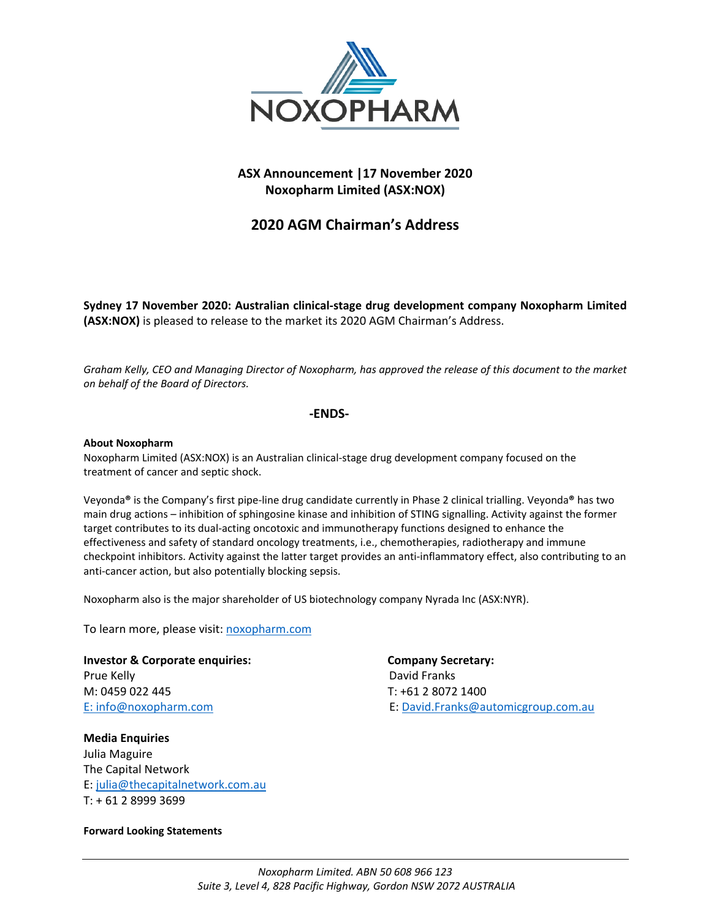

## **ASX Announcement |17 November 2020 Noxopharm Limited (ASX:NOX)**

# **2020 AGM Chairman's Address**

**Sydney 17 November 2020: Australian clinical-stage drug development company Noxopharm Limited (ASX:NOX)** is pleased to release to the market its 2020 AGM Chairman's Address.

*Graham Kelly, CEO and Managing Director of Noxopharm, has approved the release of this document to the market on behalf of the Board of Directors.*

#### **-ENDS-**

#### **About Noxopharm**

Noxopharm Limited (ASX:NOX) is an Australian clinical-stage drug development company focused on the treatment of cancer and septic shock.

Veyonda**®** is the Company's first pipe-line drug candidate currently in Phase 2 clinical trialling. Veyonda**®** has two main drug actions – inhibition of sphingosine kinase and inhibition of STING signalling. Activity against the former target contributes to its dual-acting oncotoxic and immunotherapy functions designed to enhance the effectiveness and safety of standard oncology treatments, i.e., chemotherapies, radiotherapy and immune checkpoint inhibitors. Activity against the latter target provides an anti-inflammatory effect, also contributing to an anti-cancer action, but also potentially blocking sepsis.

Noxopharm also is the major shareholder of US biotechnology company Nyrada Inc (ASX:NYR).

To learn more, please visit: [noxopharm.com](https://www.noxopharm.com/site/content/)

**Investor & Corporate enquiries: Company Secretary:**  Prue Kelly **David Franks** M: 0459 022 445 T: +61 2 8072 1400

**Media Enquiries**  Julia Maguire The Capital Network E: [julia@thecapitalnetwork.com.au](mailto:julia@thecapitalnetwork.com.au) T: + 61 2 8999 3699

#### **Forward Looking Statements**

E: [info@noxopharm.com](mailto:info@noxopharm.com) E: [David.Franks@automicgroup.com.au](mailto:David.Franks@automicgroup.com.au)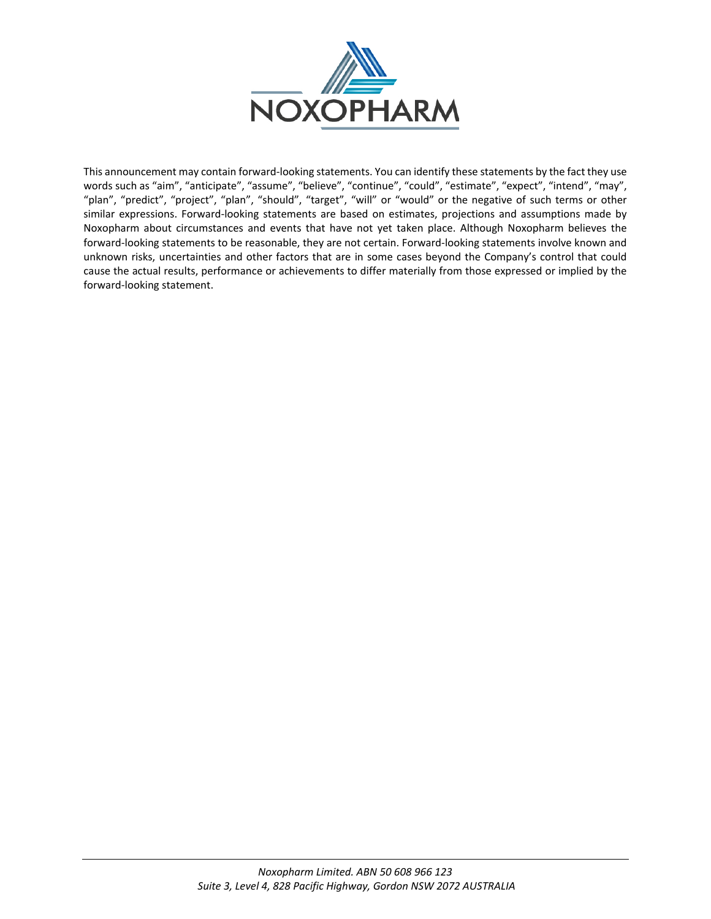

This announcement may contain forward-looking statements. You can identify these statements by the fact they use words such as "aim", "anticipate", "assume", "believe", "continue", "could", "estimate", "expect", "intend", "may", "plan", "predict", "project", "plan", "should", "target", "will" or "would" or the negative of such terms or other similar expressions. Forward-looking statements are based on estimates, projections and assumptions made by Noxopharm about circumstances and events that have not yet taken place. Although Noxopharm believes the forward-looking statements to be reasonable, they are not certain. Forward-looking statements involve known and unknown risks, uncertainties and other factors that are in some cases beyond the Company's control that could cause the actual results, performance or achievements to differ materially from those expressed or implied by the forward-looking statement.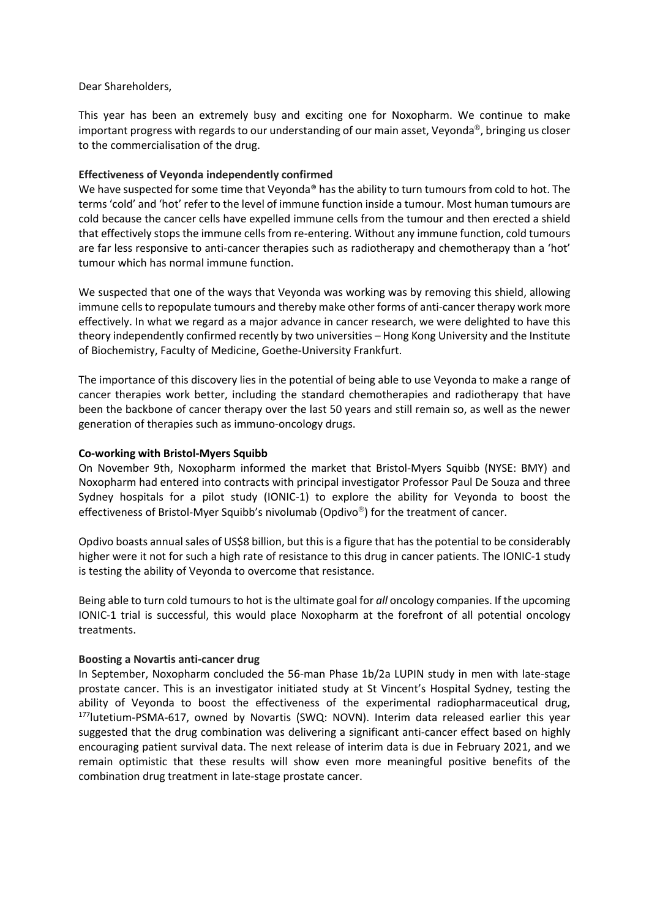#### Dear Shareholders,

This year has been an extremely busy and exciting one for Noxopharm. We continue to make important progress with regards to our understanding of our main asset, Veyonda<sup>®</sup>, bringing us closer to the commercialisation of the drug.

## **Effectiveness of Veyonda independently confirmed**

We have suspected for some time that Veyonda<sup>®</sup> has the ability to turn tumours from cold to hot. The terms 'cold' and 'hot' refer to the level of immune function inside a tumour. Most human tumours are cold because the cancer cells have expelled immune cells from the tumour and then erected a shield that effectively stops the immune cells from re-entering. Without any immune function, cold tumours are far less responsive to anti-cancer therapies such as radiotherapy and chemotherapy than a 'hot' tumour which has normal immune function.

We suspected that one of the ways that Veyonda was working was by removing this shield, allowing immune cells to repopulate tumours and thereby make other forms of anti-cancer therapy work more effectively. In what we regard as a major advance in cancer research, we were delighted to have this theory independently confirmed recently by two universities – Hong Kong University and the Institute of Biochemistry, Faculty of Medicine, Goethe-University Frankfurt.

The importance of this discovery lies in the potential of being able to use Veyonda to make a range of cancer therapies work better, including the standard chemotherapies and radiotherapy that have been the backbone of cancer therapy over the last 50 years and still remain so, as well as the newer generation of therapies such as immuno-oncology drugs.

## **Co-working with Bristol-Myers Squibb**

On November 9th, Noxopharm informed the market that Bristol-Myers Squibb (NYSE: BMY) and Noxopharm had entered into contracts with principal investigator Professor Paul De Souza and three Sydney hospitals for a pilot study (IONIC-1) to explore the ability for Veyonda to boost the effectiveness of Bristol-Myer Squibb's nivolumab (Opdivo<sup>®</sup>) for the treatment of cancer.

Opdivo boasts annual sales of US\$8 billion, but this is a figure that has the potential to be considerably higher were it not for such a high rate of resistance to this drug in cancer patients. The IONIC-1 study is testing the ability of Veyonda to overcome that resistance.

Being able to turn cold tumours to hot is the ultimate goal for *all* oncology companies. If the upcoming IONIC-1 trial is successful, this would place Noxopharm at the forefront of all potential oncology treatments.

## **Boosting a Novartis anti-cancer drug**

In September, Noxopharm concluded the 56-man Phase 1b/2a LUPIN study in men with late-stage prostate cancer. This is an investigator initiated study at St Vincent's Hospital Sydney, testing the ability of Veyonda to boost the effectiveness of the experimental radiopharmaceutical drug, <sup>177</sup>lutetium-PSMA-617, owned by Novartis (SWQ: NOVN). Interim data released earlier this year suggested that the drug combination was delivering a significant anti-cancer effect based on highly encouraging patient survival data. The next release of interim data is due in February 2021, and we remain optimistic that these results will show even more meaningful positive benefits of the combination drug treatment in late-stage prostate cancer.